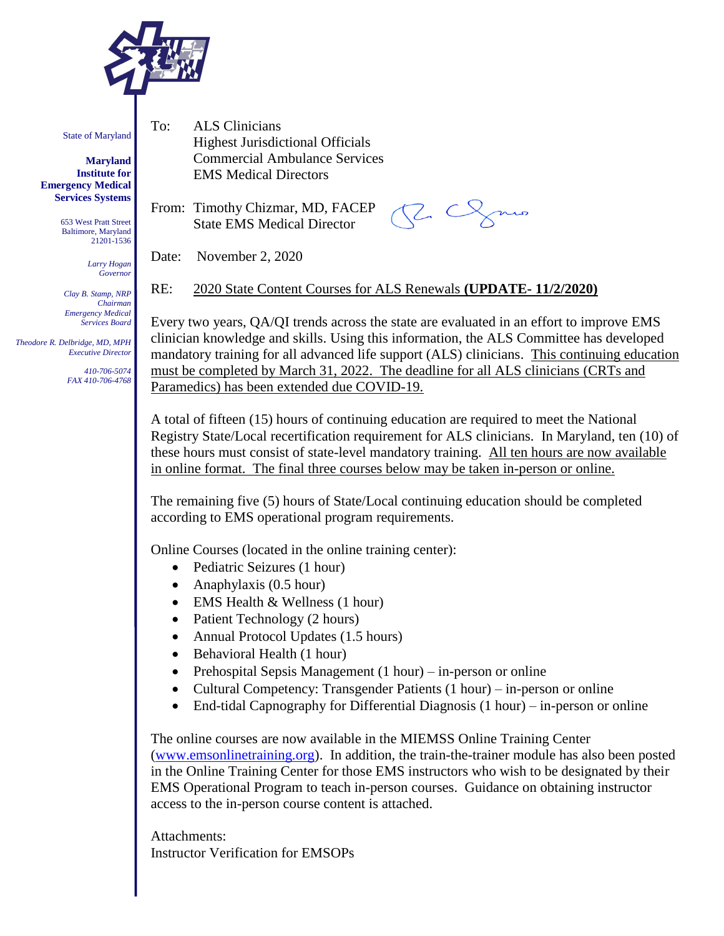

State of Maryland

**Maryland Institute for Emergency Medical Services Systems**

> 653 West Pratt Street Baltimore, Maryland 21201-1536

> > *Larry Hogan Governor*

*Clay B. Stamp, NRP Chairman Emergency Medical Services Board*

 *Theodore R. Delbridge, MD, MPH Executive Director*

> *410-706-5074 FAX 410-706-4768*

To: ALS Clinicians Highest Jurisdictional Officials Commercial Ambulance Services EMS Medical Directors

From: Timothy Chizmar, MD, FACEP State EMS Medical Director

 $\subset$ 

Date: November 2, 2020

RE: 2020 State Content Courses for ALS Renewals **(UPDATE- 11/2/2020)**

Every two years, QA/QI trends across the state are evaluated in an effort to improve EMS clinician knowledge and skills. Using this information, the ALS Committee has developed mandatory training for all advanced life support (ALS) clinicians. This continuing education must be completed by March 31, 2022. The deadline for all ALS clinicians (CRTs and Paramedics) has been extended due COVID-19.

A total of fifteen (15) hours of continuing education are required to meet the National Registry State/Local recertification requirement for ALS clinicians. In Maryland, ten (10) of these hours must consist of state-level mandatory training. All ten hours are now available in online format. The final three courses below may be taken in-person or online.

The remaining five (5) hours of State/Local continuing education should be completed according to EMS operational program requirements.

Online Courses (located in the online training center):

- Pediatric Seizures (1 hour)
- Anaphylaxis (0.5 hour)
- EMS Health & Wellness (1 hour)
- Patient Technology (2 hours)
- Annual Protocol Updates (1.5 hours)
- Behavioral Health (1 hour)
- Prehospital Sepsis Management  $(1 hour)$  in-person or online
- Cultural Competency: Transgender Patients (1 hour) in-person or online
- End-tidal Capnography for Differential Diagnosis (1 hour) in-person or online

The online courses are now available in the MIEMSS Online Training Center [\(www.emsonlinetraining.org\)](http://www.emsonlinetraining.org/). In addition, the train-the-trainer module has also been posted in the Online Training Center for those EMS instructors who wish to be designated by their EMS Operational Program to teach in-person courses. Guidance on obtaining instructor access to the in-person course content is attached.

Attachments: Instructor Verification for EMSOPs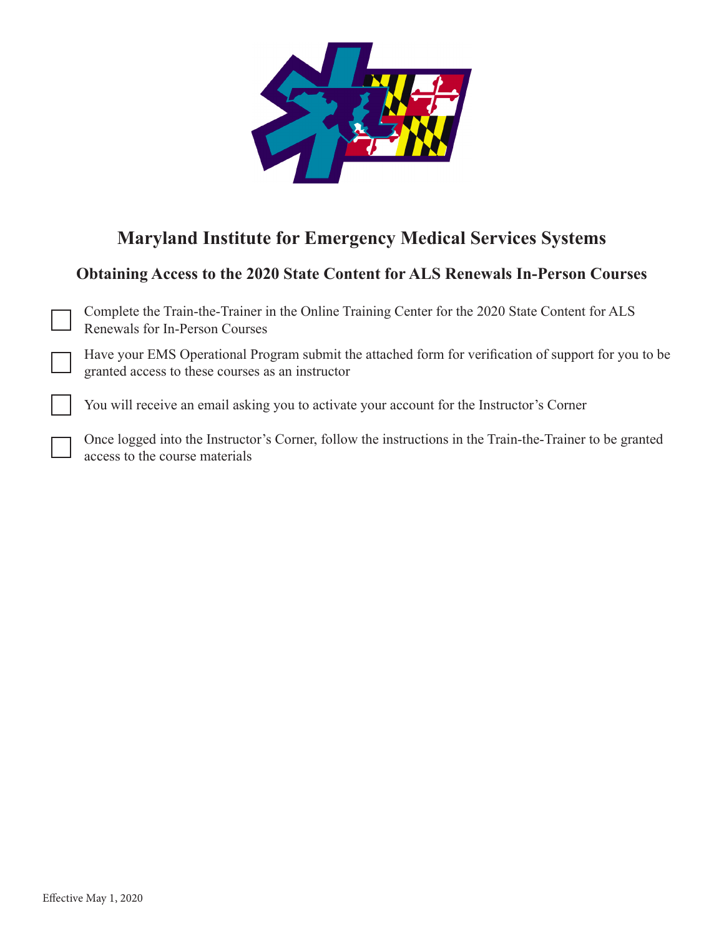

## **Maryland Institute for Emergency Medical Services Systems**

## **Obtaining Access to the 2020 State Content for ALS Renewals In-Person Courses**

Complete the Train-the-Trainer in the Online Training Center for the 2020 State Content for ALS Renewals for In-Person Courses

Have your EMS Operational Program submit the attached form for verification of support for you to be granted access to these courses as an instructor

You will receive an email asking you to activate your account for the Instructor's Corner

Once logged into the Instructor's Corner, follow the instructions in the Train-the-Trainer to be granted access to the course materials